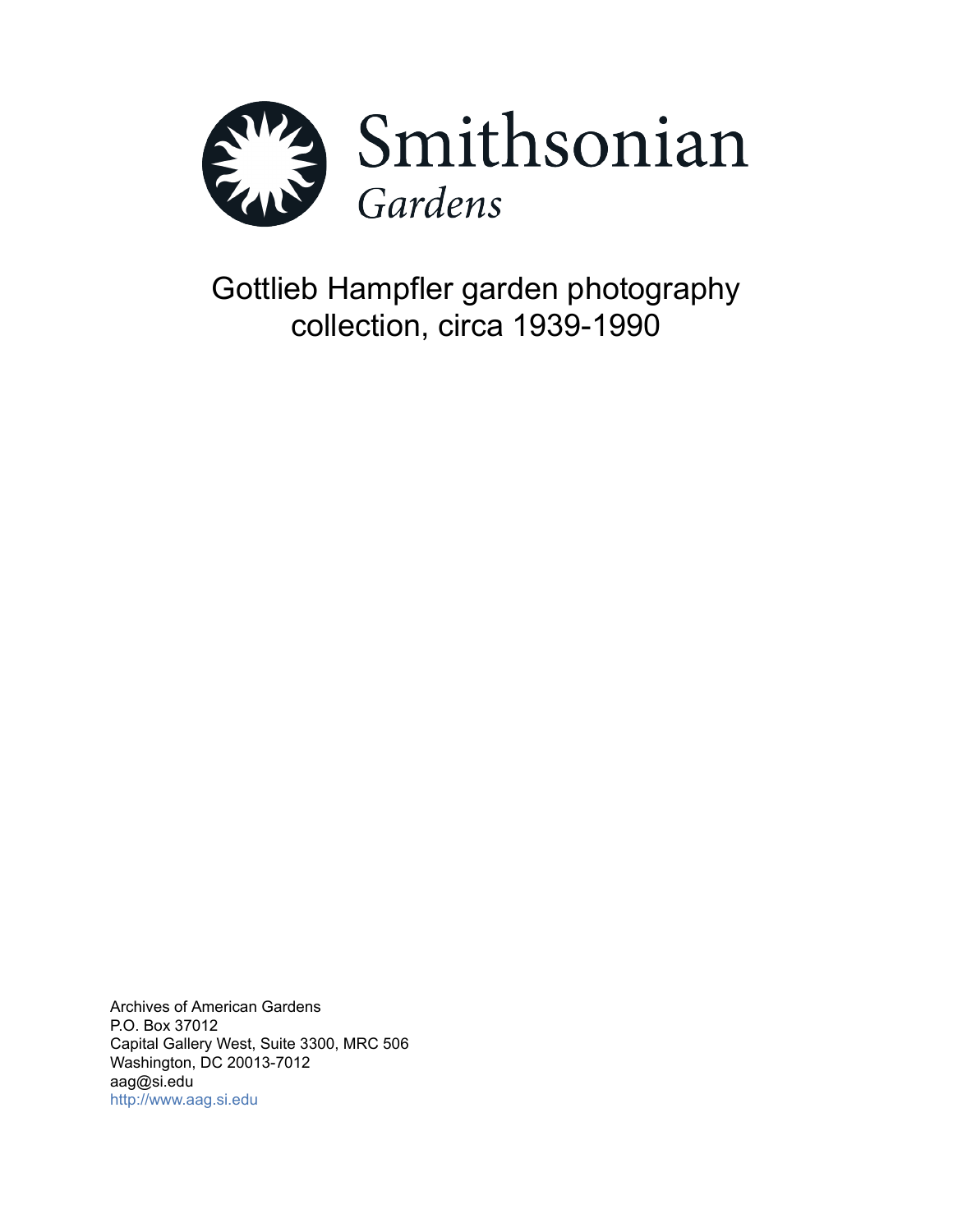

Gottlieb Hampfler garden photography collection, circa 1939-1990

Archives of American Gardens P.O. Box 37012 Capital Gallery West, Suite 3300, MRC 506 Washington, DC 20013-7012 aag@si.edu <http://www.aag.si.edu>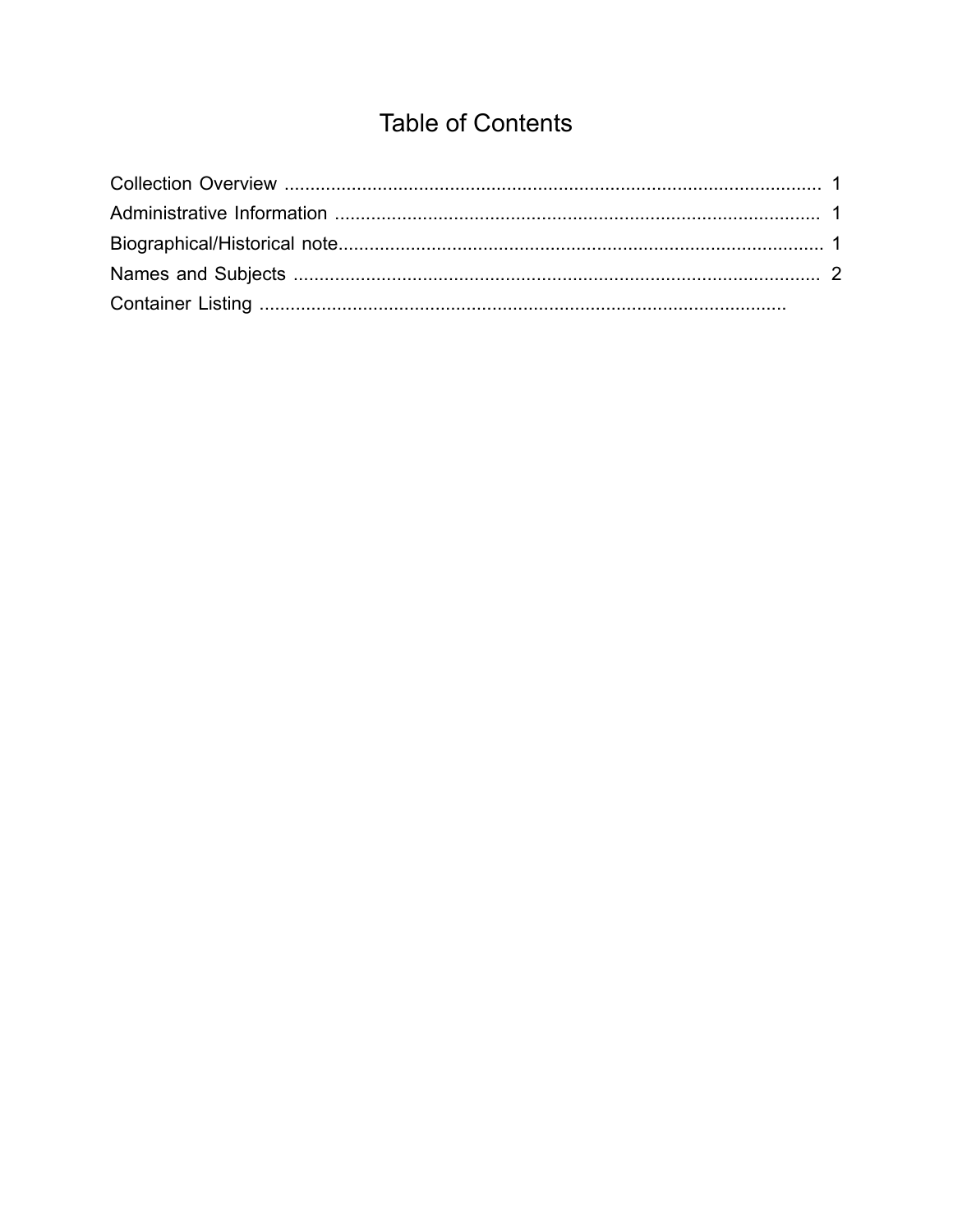# **Table of Contents**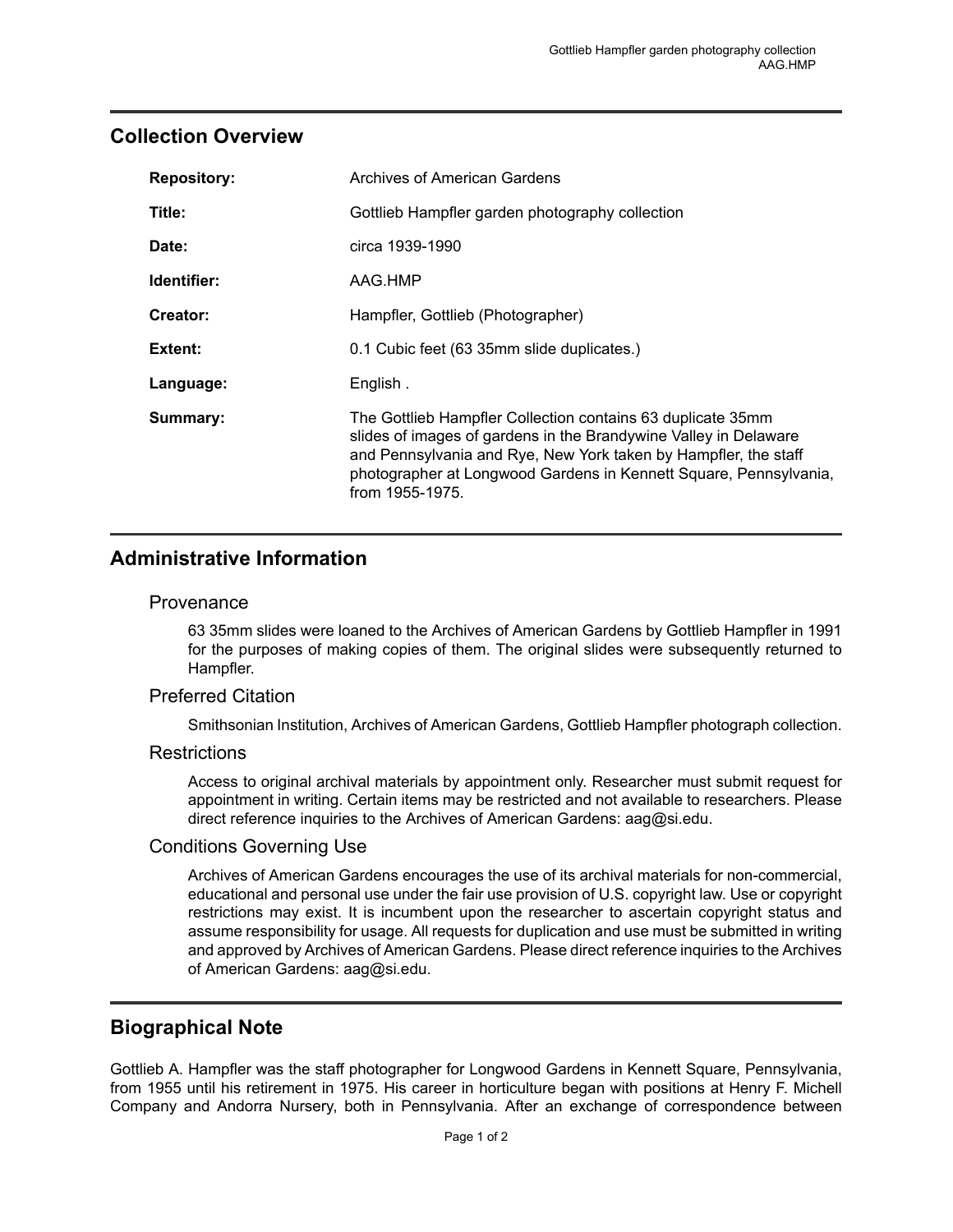## <span id="page-2-0"></span>**Collection Overview**

| <b>Repository:</b> | Archives of American Gardens                                                                                                                                                                                                                                                               |
|--------------------|--------------------------------------------------------------------------------------------------------------------------------------------------------------------------------------------------------------------------------------------------------------------------------------------|
| Title:             | Gottlieb Hampfler garden photography collection                                                                                                                                                                                                                                            |
| Date:              | circa 1939-1990                                                                                                                                                                                                                                                                            |
| Identifier:        | AAG.HMP                                                                                                                                                                                                                                                                                    |
| Creator:           | Hampfler, Gottlieb (Photographer)                                                                                                                                                                                                                                                          |
| Extent:            | 0.1 Cubic feet (63 35mm slide duplicates.)                                                                                                                                                                                                                                                 |
| Language:          | English.                                                                                                                                                                                                                                                                                   |
| Summary:           | The Gottlieb Hampfler Collection contains 63 duplicate 35mm<br>slides of images of gardens in the Brandywine Valley in Delaware<br>and Pennsylvania and Rye, New York taken by Hampfler, the staff<br>photographer at Longwood Gardens in Kennett Square, Pennsylvania,<br>from 1955-1975. |

## <span id="page-2-1"></span>**Administrative Information**

#### Provenance

63 35mm slides were loaned to the Archives of American Gardens by Gottlieb Hampfler in 1991 for the purposes of making copies of them. The original slides were subsequently returned to Hampfler.

### Preferred Citation

Smithsonian Institution, Archives of American Gardens, Gottlieb Hampfler photograph collection.

### **Restrictions**

Access to original archival materials by appointment only. Researcher must submit request for appointment in writing. Certain items may be restricted and not available to researchers. Please direct reference inquiries to the Archives of American Gardens: aag@si.edu.

### Conditions Governing Use

Archives of American Gardens encourages the use of its archival materials for non-commercial, educational and personal use under the fair use provision of U.S. copyright law. Use or copyright restrictions may exist. It is incumbent upon the researcher to ascertain copyright status and assume responsibility for usage. All requests for duplication and use must be submitted in writing and approved by Archives of American Gardens. Please direct reference inquiries to the Archives of American Gardens: aag@si.edu.

## <span id="page-2-2"></span>**Biographical Note**

Gottlieb A. Hampfler was the staff photographer for Longwood Gardens in Kennett Square, Pennsylvania, from 1955 until his retirement in 1975. His career in horticulture began with positions at Henry F. Michell Company and Andorra Nursery, both in Pennsylvania. After an exchange of correspondence between